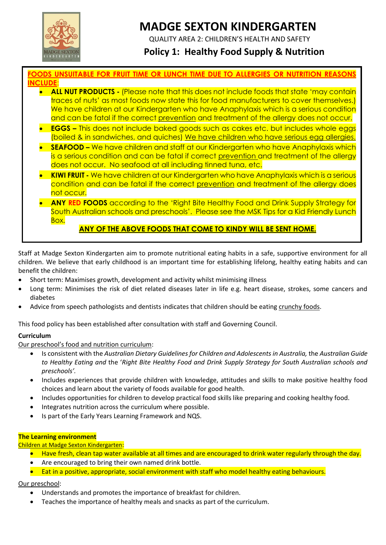

# **MADGE SEXTON KINDERGARTEN**

QUALITY AREA 2: CHILDREN'S HEALTH AND SAFETY

# **Policy 1: Healthy Food Supply & Nutrition**

# **FOODS UNSUITABLE FOR FRUIT TIME OR LUNCH TIME DUE TO ALLERGIES OR NUTRITION REASONS INCLUDE**:

- **ALL NUT PRODUCTS -** (Please note that this does not include foods that state 'may contain traces of nuts' as most foods now state this for food manufacturers to cover themselves.) We have children at our Kindergarten who have Anaphylaxis which is a serious condition and can be fatal if the correct prevention and treatment of the allergy does not occur.
- **EGGS –** This does not include baked goods such as cakes etc. but includes whole eggs (boiled & in sandwiches, and quiches) We have children who have serious egg allergies.
- **SEAFOOD –** We have children and staff at our Kindergarten who have Anaphylaxis which is a serious condition and can be fatal if correct prevention and treatment of the allergy does not occur. No seafood at all including tinned tuna, etc.
- **KIWI FRUIT -** We have children at our Kindergarten who have Anaphylaxis which is a serious condition and can be fatal if the correct prevention and treatment of the allergy does not occur.
- **ANY RED FOODS** according to the 'Right Bite Healthy Food and Drink Supply Strategy for South Australian schools and preschools'. Please see the MSK Tips for a Kid Friendly Lunch Box.

# **ANY OF THE ABOVE FOODS THAT COME TO KINDY WILL BE SENT HOME.**

Staff at Madge Sexton Kindergarten aim to promote nutritional eating habits in a safe, supportive environment for all children. We believe that early childhood is an important time for establishing lifelong, healthy eating habits and can benefit the children:

- Short term: Maximises growth, development and activity whilst minimising illness
- Long term: Minimises the risk of diet related diseases later in life e.g. heart disease, strokes, some cancers and diabetes
- Advice from speech pathologists and dentists indicates that children should be eating crunchy foods.

This food policy has been established after consultation with staff and Governing Council.

# **Curriculum**

Our preschool's food and nutrition curriculum:

- Is consistent with the *Australian Dietary Guidelines for Children and Adolescents in Australia,* the *Australian Guide to Healthy Eating and* the '*Right Bite Healthy Food and Drink Supply Strategy for South Australian schools and preschools'.*
- Includes experiences that provide children with knowledge, attitudes and skills to make positive healthy food choices and learn about the variety of foods available for good health.
- Includes opportunities for children to develop practical food skills like preparing and cooking healthy food.
- Integrates nutrition across the curriculum where possible.
- Is part of the Early Years Learning Framework and NQS.

# **The Learning environment**

Children at Madge Sexton Kindergarten:

- Have fresh, clean tap water available at all times and are encouraged to drink water regularly through the day.
- Are encouraged to bring their own named drink bottle.
- Eat in a positive, appropriate, social environment with staff who model healthy eating behaviours.

# Our preschool:

- Understands and promotes the importance of breakfast for children.
- Teaches the importance of healthy meals and snacks as part of the curriculum.